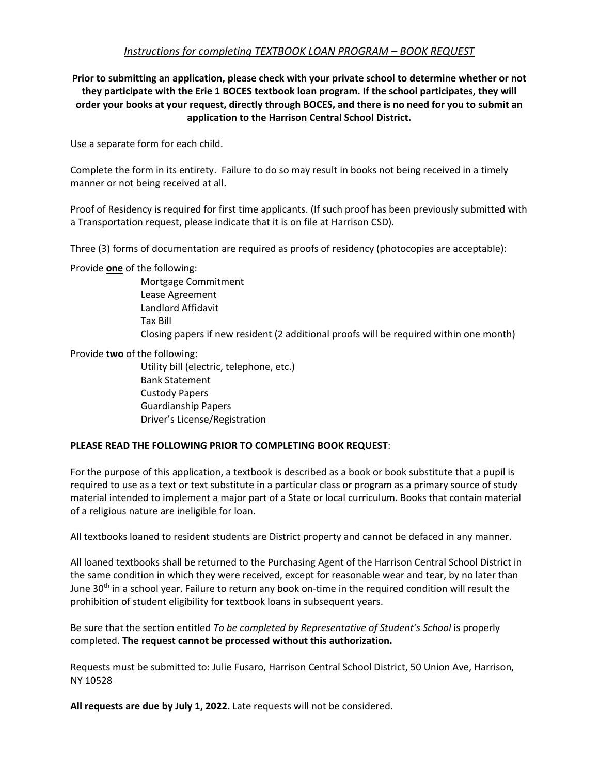## *Instructions for completing TEXTBOOK LOAN PROGRAM – BOOK REQUEST*

**Prior to submitting an application, please check with your private school to determine whether or not they participate with the Erie 1 BOCES textbook loan program. If the school participates, they will order your books at your request, directly through BOCES, and there is no need for you to submit an application to the Harrison Central School District.** 

Use a separate form for each child.

Complete the form in its entirety. Failure to do so may result in books not being received in a timely manner or not being received at all.

Proof of Residency is required for first time applicants. (If such proof has been previously submitted with a Transportation request, please indicate that it is on file at Harrison CSD).

Three (3) forms of documentation are required as proofs of residency (photocopies are acceptable):

Provide **one** of the following:

Mortgage Commitment Lease Agreement Landlord Affidavit Tax Bill Closing papers if new resident (2 additional proofs will be required within one month)

Provide **two** of the following:

 Utility bill (electric, telephone, etc.) Bank Statement Custody Papers Guardianship Papers Driver's License/Registration

## **PLEASE READ THE FOLLOWING PRIOR TO COMPLETING BOOK REQUEST**:

For the purpose of this application, a textbook is described as a book or book substitute that a pupil is required to use as a text or text substitute in a particular class or program as a primary source of study material intended to implement a major part of a State or local curriculum. Books that contain material of a religious nature are ineligible for loan.

All textbooks loaned to resident students are District property and cannot be defaced in any manner.

All loaned textbooks shall be returned to the Purchasing Agent of the Harrison Central School District in the same condition in which they were received, except for reasonable wear and tear, by no later than June 30<sup>th</sup> in a school year. Failure to return any book on-time in the required condition will result the prohibition of student eligibility for textbook loans in subsequent years.

Be sure that the section entitled *To be completed by Representative of Student's School* is properly completed. **The request cannot be processed without this authorization.** 

Requests must be submitted to: Julie Fusaro, Harrison Central School District, 50 Union Ave, Harrison, NY 10528

**All requests are due by July 1, 2022.** Late requests will not be considered.